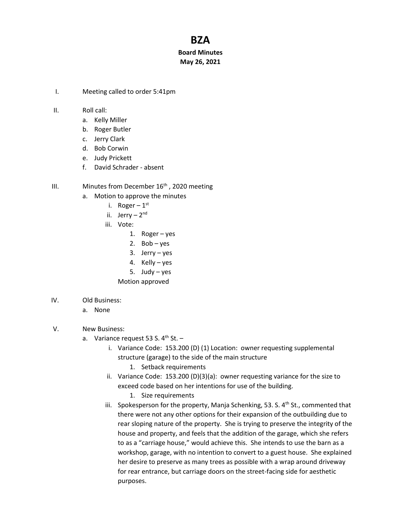## **BZA**

## **Board Minutes May 26, 2021**

- I. Meeting called to order 5:41pm
- II. Roll call:
	- a. Kelly Miller
	- b. Roger Butler
	- c. Jerry Clark
	- d. Bob Corwin
	- e. Judy Prickett
	- f. David Schrader absent
- III. Minutes from December  $16<sup>th</sup>$ , 2020 meeting
	- a. Motion to approve the minutes
		- i. Roger  $1^{\rm st}$
		- ii. Jerry 2<sup>nd</sup>
		- iii. Vote:
			- 1. Roger yes
			- 2. Bob yes
			- 3. Jerry yes
			- 4. Kelly yes
			- 5. Judy yes
			- Motion approved
- IV. Old Business:
	- a. None
- V. New Business:
	- a. Variance request 53 S. 4<sup>th</sup> St.
		- i. Variance Code: 153.200 (D) (1) Location: owner requesting supplemental structure (garage) to the side of the main structure
			- 1. Setback requirements
		- ii. Variance Code: 153.200 (D)(3)(a): owner requesting variance for the size to exceed code based on her intentions for use of the building.
			- 1. Size requirements
		- iii. Spokesperson for the property, Manja Schenking, 53. S. 4<sup>th</sup> St., commented that there were not any other options for their expansion of the outbuilding due to rear sloping nature of the property. She is trying to preserve the integrity of the house and property, and feels that the addition of the garage, which she refers to as a "carriage house," would achieve this. She intends to use the barn as a workshop, garage, with no intention to convert to a guest house. She explained her desire to preserve as many trees as possible with a wrap around driveway for rear entrance, but carriage doors on the street-facing side for aesthetic purposes.